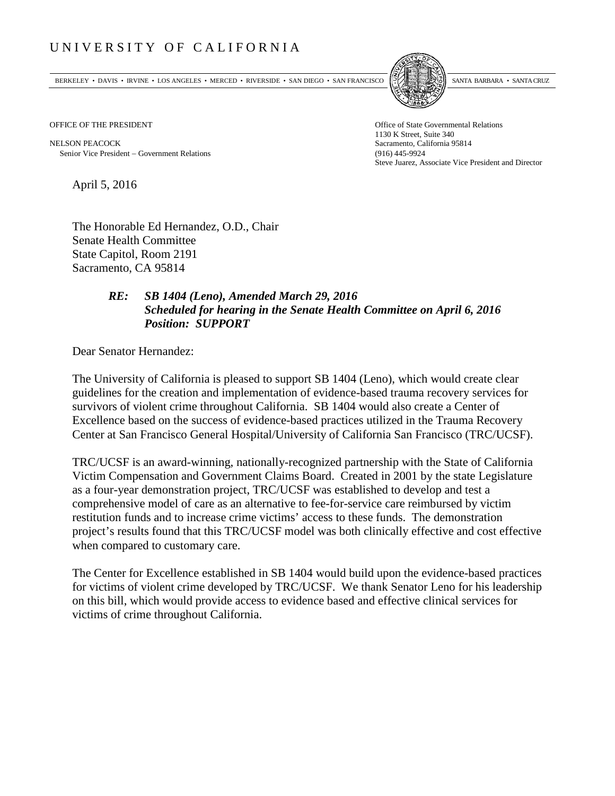## UNIVERSITY OF CALIFORNIA

BERKELEY • DAVIS • IRVINE • LOS ANGELES • MERCED • RIVERSIDE • SAN DIEGO • SAN FRANCISCO [5] SANTA BARBARA • SANTA CRUZ



OFFICE OF THE PRESIDENT STATES OF THE PRESIDENT

NELSON PEACOCK Sacramento, California 95814 Senior Vice President − Government Relations (916) 445-9924

1130 K Street, Suite 340 Steve Juarez, Associate Vice President and Director

April 5, 2016

The Honorable Ed Hernandez, O.D., Chair Senate Health Committee State Capitol, Room 2191 Sacramento, CA 95814

## *RE: SB 1404 (Leno), Amended March 29, 2016 Scheduled for hearing in the Senate Health Committee on April 6, 2016 Position: SUPPORT*

Dear Senator Hernandez:

The University of California is pleased to support SB 1404 (Leno), which would create clear guidelines for the creation and implementation of evidence-based trauma recovery services for survivors of violent crime throughout California. SB 1404 would also create a Center of Excellence based on the success of evidence-based practices utilized in the Trauma Recovery Center at San Francisco General Hospital/University of California San Francisco (TRC/UCSF).

TRC/UCSF is an award-winning, nationally-recognized partnership with the State of California Victim Compensation and Government Claims Board. Created in 2001 by the state Legislature as a four-year demonstration project, TRC/UCSF was established to develop and test a comprehensive model of care as an alternative to fee-for-service care reimbursed by victim restitution funds and to increase crime victims' access to these funds. The demonstration project's results found that this TRC/UCSF model was both clinically effective and cost effective when compared to customary care.

The Center for Excellence established in SB 1404 would build upon the evidence-based practices for victims of violent crime developed by TRC/UCSF. We thank Senator Leno for his leadership on this bill, which would provide access to evidence based and effective clinical services for victims of crime throughout California.